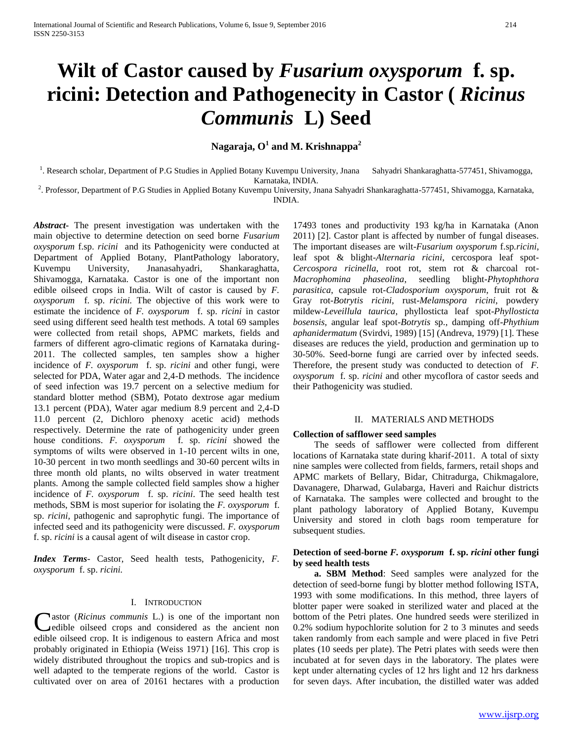# **Wilt of Castor caused by** *Fusarium oxysporum* **f. sp. ricini: Detection and Pathogenecity in Castor (** *Ricinus Communis* **L) Seed**

**Nagaraja, O<sup>1</sup> and M. Krishnappa<sup>2</sup>**

<sup>1</sup>. Research scholar, Department of P.G Studies in Applied Botany Kuvempu University, Jnana Sahyadri Shankaraghatta-577451, Shivamogga, Karnataka, INDIA.

2 . Professor, Department of P.G Studies in Applied Botany Kuvempu University, Jnana Sahyadri Shankaraghatta-577451, Shivamogga, Karnataka, INDIA.

*Abstract***-** The present investigation was undertaken with the main objective to determine detection on seed borne *Fusarium oxysporum* f.sp. *ricini* and its Pathogenicity were conducted at Department of Applied Botany, PlantPathology laboratory, Kuvempu University, Jnanasahyadri, Shankaraghatta, Shivamogga, Karnataka. Castor is one of the important non edible oilseed crops in India. Wilt of castor is caused by *F. oxysporum* f. sp. *ricini.* The objective of this work were to estimate the incidence of *F. oxysporum* f. sp. *ricini* in castor seed using different seed health test methods. A total 69 samples were collected from retail shops, APMC markets, fields and farmers of different agro-climatic regions of Karnataka during-2011. The collected samples, ten samples show a higher incidence of *F. oxysporum* f. sp. *ricini* and other fungi, were selected for PDA, Water agar and 2,4-D methods. The incidence of seed infection was 19.7 percent on a selective medium for standard blotter method (SBM), Potato dextrose agar medium 13.1 percent (PDA), Water agar medium 8.9 percent and 2,4-D 11.0 percent (2, Dichloro phenoxy acetic acid) methods respectively. Determine the rate of pathogenicity under green house conditions. *F. oxysporum* f. sp. *ricini* showed the symptoms of wilts were observed in 1-10 percent wilts in one, 10-30 percent in two month seedlings and 30-60 percent wilts in three month old plants, no wilts observed in water treatment plants. Among the sample collected field samples show a higher incidence of *F. oxysporum* f. sp. *ricini*. The seed health test methods, SBM is most superior for isolating the *F. oxysporum* f. sp. *ricini,* pathogenic and saprophytic fungi. The importance of infected seed and its pathogenicity were discussed. *F. oxysporum* f. sp. *ricini* is a causal agent of wilt disease in castor crop.

*Index Terms*- Castor, Seed health tests, Pathogenicity, *F. oxysporum* f. sp. *ricini.*

## I. INTRODUCTION

astor (*Ricinus communis* L.) is one of the important non edible oilseed crops and considered as the ancient non Castor (Ricinus communis L.) is one of the important non edible oilseed crops and considered as the ancient non edible oilseed crop. It is indigenous to eastern Africa and most probably originated in Ethiopia (Weiss 1971) [16]. This crop is widely distributed throughout the tropics and sub-tropics and is well adapted to the temperate regions of the world. Castor is cultivated over on area of 20161 hectares with a production

17493 tones and productivity 193 kg/ha in Karnataka (Anon 2011) [2]. Castor plant is affected by number of fungal diseases. The important diseases are wilt-*Fusarium oxysporum* f.sp*.ricini*, leaf spot & blight-*Alternaria ricini*, cercospora leaf spot-*Cercospora ricinella*, root rot, stem rot & charcoal rot-*Macrophomina phaseolina*, seedling blight-*Phytophthora parasitica*, capsule rot-*Cladosporium oxysporum*, fruit rot & Gray rot-*Botrytis ricini*, rust-*Melamspora ricini*, powdery mildew-*Leveillula taurica*, phyllosticta leaf spot-*Phyllosticta bosensis*, angular leaf spot-*Botrytis* sp., damping off-*Phythium aphanidermatum* (Svirdvi, 1989) [15] (Andreva, 1979) [1]. These diseases are reduces the yield, production and germination up to 30-50%. Seed-borne fungi are carried over by infected seeds. Therefore, the present study was conducted to detection of *F. oxysporum* f. sp. *ricini* and other mycoflora of castor seeds and their Pathogenicity was studied.

#### II. MATERIALS AND METHODS

#### **Collection of safflower seed samples**

 The seeds of safflower were collected from different locations of Karnataka state during kharif-2011. A total of sixty nine samples were collected from fields, farmers, retail shops and APMC markets of Bellary, Bidar, Chitradurga, Chikmagalore, Davanagere, Dharwad, Gulabarga, Haveri and Raichur districts of Karnataka. The samples were collected and brought to the plant pathology laboratory of Applied Botany, Kuvempu University and stored in cloth bags room temperature for subsequent studies.

# **Detection of seed-borne** *F. oxysporum* **f. sp.** *ricini* **other fungi by seed health tests**

 **a. SBM Method**: Seed samples were analyzed for the detection of seed-borne fungi by blotter method following ISTA, 1993 with some modifications. In this method, three layers of blotter paper were soaked in sterilized water and placed at the bottom of the Petri plates. One hundred seeds were sterilized in 0.2% sodium hypochlorite solution for 2 to 3 minutes and seeds taken randomly from each sample and were placed in five Petri plates (10 seeds per plate). The Petri plates with seeds were then incubated at for seven days in the laboratory. The plates were kept under alternating cycles of 12 hrs light and 12 hrs darkness for seven days. After incubation, the distilled water was added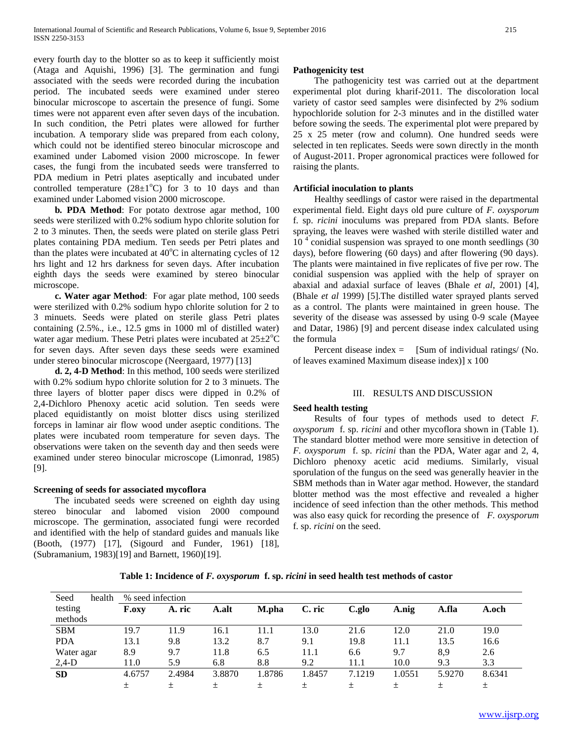every fourth day to the blotter so as to keep it sufficiently moist (Ataga and Aquishi, 1996) [3]. The germination and fungi associated with the seeds were recorded during the incubation period. The incubated seeds were examined under stereo binocular microscope to ascertain the presence of fungi. Some times were not apparent even after seven days of the incubation. In such condition, the Petri plates were allowed for further incubation. A temporary slide was prepared from each colony, which could not be identified stereo binocular microscope and examined under Labomed vision 2000 microscope. In fewer cases, the fungi from the incubated seeds were transferred to PDA medium in Petri plates aseptically and incubated under controlled temperature  $(28\pm1^{\circ}C)$  for 3 to 10 days and than examined under Labomed vision 2000 microscope.

 **b***.* **PDA Method**: For potato dextrose agar method, 100 seeds were sterilized with 0.2% sodium hypo chlorite solution for 2 to 3 minutes. Then, the seeds were plated on sterile glass Petri plates containing PDA medium. Ten seeds per Petri plates and than the plates were incubated at  $40^{\circ}$ C in alternating cycles of 12 hrs light and 12 hrs darkness for seven days. After incubation eighth days the seeds were examined by stereo binocular microscope.

 **c. Water agar Method**: For agar plate method, 100 seeds were sterilized with 0.2% sodium hypo chlorite solution for 2 to 3 minuets. Seeds were plated on sterile glass Petri plates containing (2.5%., i.e., 12.5 gms in 1000 ml of distilled water) water agar medium. These Petri plates were incubated at  $25\pm2\degree C$ for seven days. After seven days these seeds were examined under stereo binocular microscope (Neergaard, 1977) [13]

 **d. 2, 4-D Method**: In this method, 100 seeds were sterilized with 0.2% sodium hypo chlorite solution for 2 to 3 minuets. The three layers of blotter paper discs were dipped in 0.2% of 2,4-Dichloro Phenoxy acetic acid solution. Ten seeds were placed equidistantly on moist blotter discs using sterilized forceps in laminar air flow wood under aseptic conditions. The plates were incubated room temperature for seven days. The observations were taken on the seventh day and then seeds were examined under stereo binocular microscope (Limonrad, 1985) [9].

# **Screening of seeds for associated mycoflora**

 The incubated seeds were screened on eighth day using stereo binocular and labomed vision 2000 compound microscope. The germination, associated fungi were recorded and identified with the help of standard guides and manuals like (Booth, (1977) [17], (Sigourd and Funder, 1961) [18], (Subramanium, 1983)[19] and Barnett, 1960)[19].

# **Pathogenicity test**

 The pathogenicity test was carried out at the department experimental plot during kharif-2011. The discoloration local variety of castor seed samples were disinfected by 2% sodium hypochloride solution for 2-3 minutes and in the distilled water before sowing the seeds. The experimental plot were prepared by 25 x 25 meter (row and column). One hundred seeds were selected in ten replicates. Seeds were sown directly in the month of August-2011. Proper agronomical practices were followed for raising the plants.

# **Artificial inoculation to plants**

 Healthy seedlings of castor were raised in the departmental experimental field. Eight days old pure culture of *F. oxysporum* f. sp. *ricini* inoculums was prepared from PDA slants. Before spraying, the leaves were washed with sterile distilled water and 10<sup>4</sup> conidial suspension was sprayed to one month seedlings (30 days), before flowering (60 days) and after flowering (90 days). The plants were maintained in five replicates of five per row. The conidial suspension was applied with the help of sprayer on abaxial and adaxial surface of leaves (Bhale *et al*, 2001) [4], (Bhale *et al* 1999) [5].The distilled water sprayed plants served as a control. The plants were maintained in green house. The severity of the disease was assessed by using 0-9 scale (Mayee and Datar, 1986) [9] and percent disease index calculated using the formula

Percent disease index  $=$  [Sum of individual ratings/ (No. of leaves examined Maximum disease index)] x 100

# III. RESULTS AND DISCUSSION

# **Seed health testing**

 Results of four types of methods used to detect *F. oxysporum* f. sp. *ricini* and other mycoflora shown in (Table 1). The standard blotter method were more sensitive in detection of *F. oxysporum* f. sp. *ricini* than the PDA, Water agar and 2, 4, Dichloro phenoxy acetic acid mediums. Similarly, visual sporulation of the fungus on the seed was generally heavier in the SBM methods than in Water agar method. However, the standard blotter method was the most effective and revealed a higher incidence of seed infection than the other methods. This method was also easy quick for recording the presence of *F. oxysporum* f. sp. *ricini* on the seed.

**Table 1: Incidence of** *F. oxysporum* **f. sp.** *ricini* **in seed health test methods of castor**

| health<br>Seed | % seed infection |        |        |        |        |        |        |        |        |
|----------------|------------------|--------|--------|--------|--------|--------|--------|--------|--------|
| testing        | <b>F.oxv</b>     | A. ric | A.alt  | M.pha  | C. ric | C.glo  | A.nig  | A.fla  | A.och  |
| methods        |                  |        |        |        |        |        |        |        |        |
| <b>SBM</b>     | 19.7             | 11.9   | 16.1   | 11.1   | 13.0   | 21.6   | 12.0   | 21.0   | 19.0   |
| <b>PDA</b>     | 13.1             | 9.8    | 13.2   | 8.7    | 9.1    | 19.8   | 11.1   | 13.5   | 16.6   |
| Water agar     | 8.9              | 9.7    | 11.8   | 6.5    | 11.1   | 6.6    | 9.7    | 8,9    | 2.6    |
| $2,4-D$        | 11.0             | 5.9    | 6.8    | 8.8    | 9.2    | 11.1   | 10.0   | 9.3    | 3.3    |
| <b>SD</b>      | 4.6757           | 2.4984 | 3.8870 | 1.8786 | 1.8457 | 7.1219 | 1.0551 | 5.9270 | 8.6341 |
|                |                  | 土      | 土      | 土      | 土      | 士      | 土      | 土      | 土      |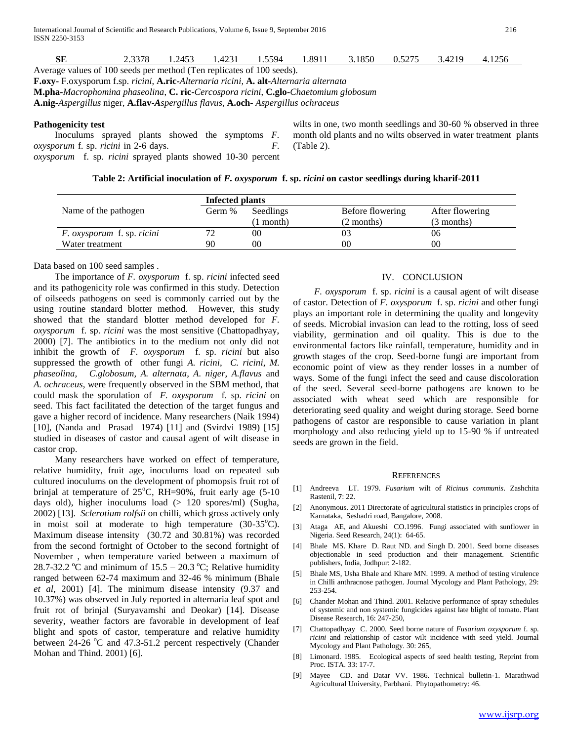| SЕ                                                                                                           | 2.3378 | 1.2453 | 1.4231 | 1.5594 | 1.8911 | 3.1850 | 0.5275 | 3.4219 | 4.1256 |
|--------------------------------------------------------------------------------------------------------------|--------|--------|--------|--------|--------|--------|--------|--------|--------|
| Average values of 100 seeds per method (Ten replicates of 100 seeds).                                        |        |        |        |        |        |        |        |        |        |
| <b>F.oxy-</b> F.oxysporum f.sp. ricini, <b>A.ric-</b> Alternaria ricini, <b>A. alt-</b> Alternaria alternata |        |        |        |        |        |        |        |        |        |
| <b>M.pha-</b> Macrophomina phaseolina, <b>C. ric-</b> Cercospora ricini, <b>C.glo-</b> Chaetomium globosum   |        |        |        |        |        |        |        |        |        |
| <b>A.nig-</b> Aspergillus niger, <b>A.flav-A</b> spergillus flavus, <b>A.och</b> -Aspergillus ochraceus      |        |        |        |        |        |        |        |        |        |

#### **Pathogenicity test**

 Inoculums sprayed plants showed the symptoms *F. oxysporum* f. sp. *ricini* in 2-6 days. *F. oxysporum* f. sp. *ricini* sprayed plants showed 10-30 percent wilts in one, two month seedlings and 30-60 % observed in three month old plants and no wilts observed in water treatment plants (Table 2).

## **Table 2: Artificial inoculation of** *F. oxysporum* **f. sp.** *ricini* **on castor seedlings during kharif-2011**

|                                          | Infected plants |           |                  |                 |  |  |  |  |
|------------------------------------------|-----------------|-----------|------------------|-----------------|--|--|--|--|
| Name of the pathogen                     | Germ %          | Seedlings | Before flowering | After flowering |  |  |  |  |
|                                          |                 | 1 month)  | (2 months)       | (3 months)      |  |  |  |  |
| <i>F. oxysporum</i> f. sp. <i>ricini</i> | 70              | 00        |                  | 06              |  |  |  |  |
| Water treatment                          | 90              | 00        | 00               | 00              |  |  |  |  |

# Data based on 100 seed samples .

 The importance of *F. oxysporum* f. sp. *ricini* infected seed and its pathogenicity role was confirmed in this study. Detection of oilseeds pathogens on seed is commonly carried out by the using routine standard blotter method. However, this study showed that the standard blotter method developed for *F. oxysporum* f. sp. *ricini* was the most sensitive (Chattopadhyay, 2000) [7]. The antibiotics in to the medium not only did not inhibit the growth of *F. oxysporum* f. sp. *ricini* but also suppressed the growth of other fungi *A. ricini*, *C. ricini*, *M. phaseolina, C.globosum, A. alternata, A. niger, A.flavus* and *A. ochraceus*, were frequently observed in the SBM method, that could mask the sporulation of *F. oxysporum* f. sp. *ricini* on seed. This fact facilitated the detection of the target fungus and gave a higher record of incidence. Many researchers (Naik 1994) [10], (Nanda and Prasad 1974) [11] and (Svirdvi 1989) [15] studied in diseases of castor and causal agent of wilt disease in castor crop.

 Many researchers have worked on effect of temperature, relative humidity, fruit age, inoculums load on repeated sub cultured inoculums on the development of phomopsis fruit rot of brinjal at temperature of  $25^{\circ}$ C, RH=90%, fruit early age (5-10 days old), higher inoculums load (> 120 spores/ml) (Sugha, 2002) [13]. *Sclerotium rolfsii* on chilli, which gross actively only in moist soil at moderate to high temperature  $(30-35^{\circ}C)$ . Maximum disease intensity (30.72 and 30.81%) was recorded from the second fortnight of October to the second fortnight of November , when temperature varied between a maximum of 28.7-32.2 °C and minimum of  $15.5 - 20.3$  °C; Relative humidity ranged between 62-74 maximum and 32-46 % minimum (Bhale *et al*, 2001) [4]. The minimum disease intensity (9.37 and 10.37%) was observed in July reported in alternaria leaf spot and fruit rot of brinjal (Suryavamshi and Deokar) [14]. Disease severity, weather factors are favorable in development of leaf blight and spots of castor, temperature and relative humidity between  $24-26$  °C and  $47.3-51.2$  percent respectively (Chander Mohan and Thind. 2001) [6].

# IV. CONCLUSION

 *F. oxysporum* f. sp. *ricini* is a causal agent of wilt disease of castor. Detection of *F. oxysporum* f. sp. *ricini* and other fungi plays an important role in determining the quality and longevity of seeds. Microbial invasion can lead to the rotting, loss of seed viability, germination and oil quality. This is due to the environmental factors like rainfall, temperature, humidity and in growth stages of the crop. Seed-borne fungi are important from economic point of view as they render losses in a number of ways. Some of the fungi infect the seed and cause discoloration of the seed. Several seed-borne pathogens are known to be associated with wheat seed which are responsible for deteriorating seed quality and weight during storage. Seed borne pathogens of castor are responsible to cause variation in plant morphology and also reducing yield up to 15-90 % if untreated seeds are grown in the field.

#### REFERENCES

- [1] Andreeva LT. 1979. *Fusarium* wilt of *Ricinus communis*. Zashchita Rastenil*,* **7**: 22.
- [2] Anonymous. 2011 Directorate of agricultural statistics in principles crops of Karnataka, Seshadri road, Bangalore, 2008.
- [3] Ataga AE, and Akueshi CO.1996. Fungi associated with sunflower in Nigeria. Seed Research*,* 24(1): 64-65.
- [4] Bhale MS. Khare D. Raut ND. and Singh D. 2001. Seed borne diseases objectionable in seed production and their management. Scientific publishers, India, Jodhpur: 2-182.
- [5] Bhale MS, Usha Bhale and Khare MN. 1999. A method of testing virulence in Chilli anthracnose pathogen. Journal Mycology and Plant Pathology, 29: 253-254.
- [6] Chander Mohan and Thind. 2001. Relative performance of spray schedules of systemic and non systemic fungicides against late blight of tomato. Plant Disease Research, 16: 247-250,
- [7] Chattopadhyay C. 2000. Seed borne nature of *Fusarium oxysporum* f. sp. *ricini* and relationship of castor wilt incidence with seed yield. Journal Mycology and Plant Pathology. 30: 265,
- [8] Limonard. 1985. Ecological aspects of seed health testing, Reprint from Proc. ISTA. 33: 17-7.
- [9] Mayee CD. and Datar VV. 1986. Technical bulletin-1. Marathwad Agricultural University, Parbhani. Phytopathometry: 46.